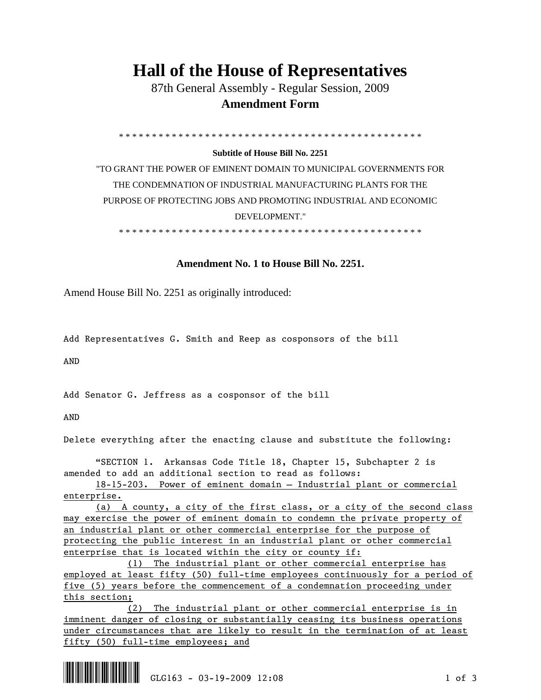## **Hall of the House of Representatives**

 87th General Assembly - Regular Session, 2009  **Amendment Form** 

\* \* \* \* \* \* \* \* \* \* \* \* \* \* \* \* \* \* \* \* \* \* \* \* \* \* \* \* \* \* \* \* \* \* \* \* \* \* \* \* \* \* \* \* \* \*

## **Subtitle of House Bill No. 2251**

"TO GRANT THE POWER OF EMINENT DOMAIN TO MUNICIPAL GOVERNMENTS FOR THE CONDEMNATION OF INDUSTRIAL MANUFACTURING PLANTS FOR THE PURPOSE OF PROTECTING JOBS AND PROMOTING INDUSTRIAL AND ECONOMIC DEVELOPMENT."

\* \* \* \* \* \* \* \* \* \* \* \* \* \* \* \* \* \* \* \* \* \* \* \* \* \* \* \* \* \* \* \* \* \* \* \* \* \* \* \* \* \* \* \* \* \*

## **Amendment No. 1 to House Bill No. 2251.**

Amend House Bill No. 2251 as originally introduced:

Add Representatives G. Smith and Reep as cosponsors of the bill

AND

Add Senator G. Jeffress as a cosponsor of the bill

AND

Delete everything after the enacting clause and substitute the following:

 "SECTION 1. Arkansas Code Title 18, Chapter 15, Subchapter 2 is amended to add an additional section to read as follows:

 18-15-203. Power of eminent domain — Industrial plant or commercial enterprise.

 (a) A county, a city of the first class, or a city of the second class may exercise the power of eminent domain to condemn the private property of an industrial plant or other commercial enterprise for the purpose of protecting the public interest in an industrial plant or other commercial enterprise that is located within the city or county if:

 (1) The industrial plant or other commercial enterprise has employed at least fifty (50) full-time employees continuously for a period of five (5) years before the commencement of a condemnation proceeding under this section;

 (2) The industrial plant or other commercial enterprise is in imminent danger of closing or substantially ceasing its business operations under circumstances that are likely to result in the termination of at least fifty (50) full-time employees; and

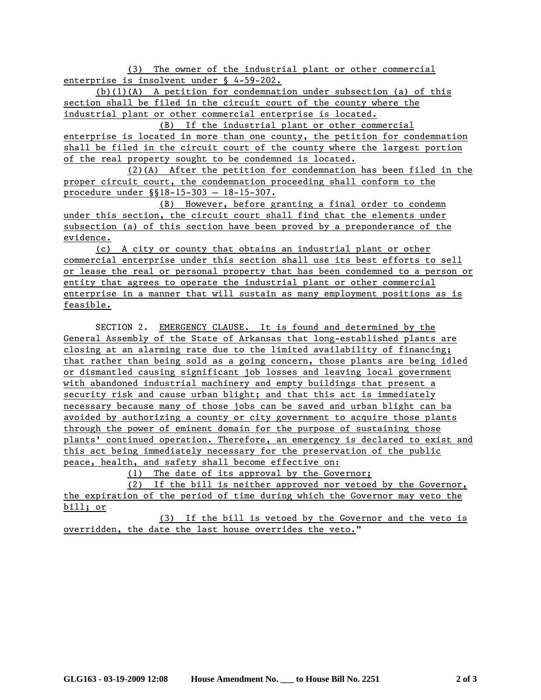(3) The owner of the industrial plant or other commercial enterprise is insolvent under § 4-59-202.

(b)(1)(A) A petition for condemnation under subsection (a) of this section shall be filed in the circuit court of the county where the industrial plant or other commercial enterprise is located.

 (B) If the industrial plant or other commercial enterprise is located in more than one county, the petition for condemnation shall be filed in the circuit court of the county where the largest portion of the real property sought to be condemned is located.

 (2)(A) After the petition for condemnation has been filed in the proper circuit court, the condemnation proceeding shall conform to the procedure under §§18-15-303 — 18-15-307.

 (B) However, before granting a final order to condemn under this section, the circuit court shall find that the elements under subsection (a) of this section have been proved by a preponderance of the evidence.

(c) A city or county that obtains an industrial plant or other commercial enterprise under this section shall use its best efforts to sell or lease the real or personal property that has been condemned to a person or entity that agrees to operate the industrial plant or other commercial enterprise in a manner that will sustain as many employment positions as is feasible.

 SECTION 2. EMERGENCY CLAUSE. It is found and determined by the General Assembly of the State of Arkansas that long-established plants are closing at an alarming rate due to the limited availability of financing; that rather than being sold as a going concern, those plants are being idled or dismantled causing significant job losses and leaving local government with abandoned industrial machinery and empty buildings that present a security risk and cause urban blight; and that this act is immediately necessary because many of those jobs can be saved and urban blight can ba avoided by authorizing a county or city government to acquire those plants through the power of eminent domain for the purpose of sustaining those plants' continued operation. Therefore, an emergency is declared to exist and this act being immediately necessary for the preservation of the public peace, health, and safety shall become effective on:

(1) The date of its approval by the Governor;

 (2) If the bill is neither approved nor vetoed by the Governor, the expiration of the period of time during which the Governor may veto the bill; or

 (3) If the bill is vetoed by the Governor and the veto is overridden, the date the last house overrides the veto."